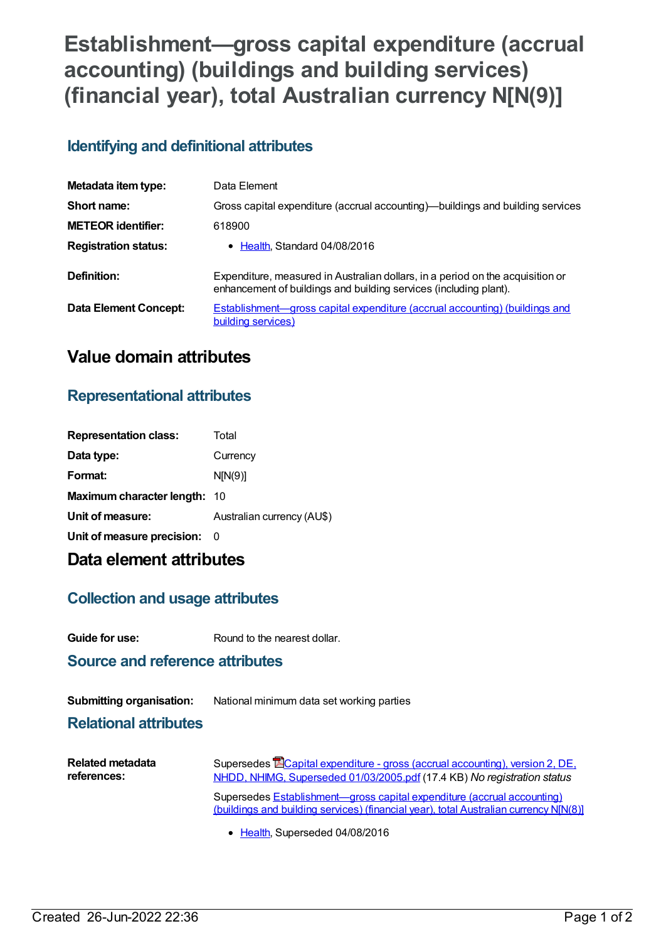# **Establishment—gross capital expenditure (accrual accounting) (buildings and building services) (financial year), total Australian currency N[N(9)]**

#### **Identifying and definitional attributes**

| Metadata item type:         | Data Element                                                                                                                                        |
|-----------------------------|-----------------------------------------------------------------------------------------------------------------------------------------------------|
| Short name:                 | Gross capital expenditure (accrual accounting)—buildings and building services                                                                      |
| <b>METEOR identifier:</b>   | 618900                                                                                                                                              |
| <b>Registration status:</b> | • Health, Standard 04/08/2016                                                                                                                       |
| Definition:                 | Expenditure, measured in Australian dollars, in a period on the acquisition or<br>enhancement of buildings and building services (including plant). |
| Data Element Concept:       | <b>Establishment—gross capital expenditure (accrual accounting) (buildings and</b><br>building services)                                            |

### **Value domain attributes**

#### **Representational attributes**

| <b>Representation class:</b> | Total                      |
|------------------------------|----------------------------|
| Data type:                   | Currency                   |
| Format:                      | N[N(9)]                    |
| Maximum character length: 10 |                            |
| Unit of measure:             | Australian currency (AU\$) |
| Unit of measure precision:   | - 0                        |
|                              |                            |

## **Data element attributes**

#### **Collection and usage attributes**

**Guide for use:** Round to the nearest dollar.

**Source and reference attributes**

**Submitting organisation:** National minimum data set working parties

**Relational attributes**

| <b>Related metadata</b> | Supersedes <b>E</b> Capital expenditure - gross (accrual accounting), version 2, DE,                                                                             |
|-------------------------|------------------------------------------------------------------------------------------------------------------------------------------------------------------|
| references:             | NHDD, NHIMG, Superseded 01/03/2005.pdf (17.4 KB) No registration status                                                                                          |
|                         | Supersedes Establishment—gross capital expenditure (accrual accounting)<br>(buildings and building services) (financial year), total Australian currency N[N(8)] |

• [Health](https://meteor.aihw.gov.au/RegistrationAuthority/12), Superseded 04/08/2016